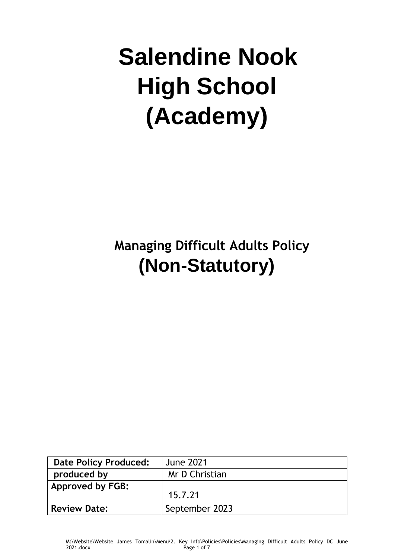# **Salendine Nook High School (Academy)**

# **Managing Difficult Adults Policy (Non-Statutory)**

| <b>Date Policy Produced:</b> | <b>June 2021</b> |
|------------------------------|------------------|
| produced by                  | Mr D Christian   |
| <b>Approved by FGB:</b>      |                  |
|                              | 15.7.21          |
| <b>Review Date:</b>          | September 2023   |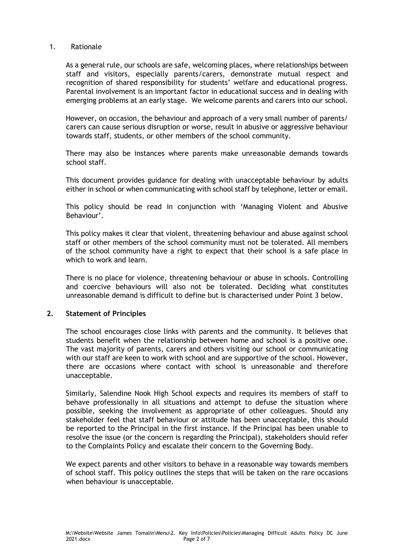#### 1. Rationale

As a general rule, our schools are safe, welcoming places, where relationships between staff and visitors, especially parents/carers, demonstrate mutual respect and recognition of shared responsibility for students' welfare and educational progress. Parental involvement is an important factor in educational success and in dealing with emerging problems at an early stage. We welcome parents and carers into our school.

However, on occasion, the behaviour and approach of a very small number of parents/ carers can cause serious disruption or worse, result in abusive or aggressive behaviour towards staff, students, or other members of the school community.

There may also be instances where parents make unreasonable demands towards school staff.

This document provides guidance for dealing with unacceptable behaviour by adults either in school or when communicating with school staff by telephone, letter or email.

This policy should be read in conjunction with 'Managing Violent and Abusive Behaviour'.

This policy makes it clear that violent, threatening behaviour and abuse against school staff or other members of the school community must not be tolerated. All members of the school community have a right to expect that their school is a safe place in which to work and learn.

There is no place for violence, threatening behaviour or abuse in schools. Controlling and coercive behaviours will also not be tolerated. Deciding what constitutes unreasonable demand is difficult to define but is characterised under Point 3 below.

#### **2. Statement of Principles**

The school encourages close links with parents and the community. It believes that students benefit when the relationship between home and school is a positive one. The vast majority of parents, carers and others visiting our school or communicating with our staff are keen to work with school and are supportive of the school. However, there are occasions where contact with school is unreasonable and therefore unacceptable.

Similarly, Salendine Nook High School expects and requires its members of staff to behave professionally in all situations and attempt to defuse the situation where possible, seeking the involvement as appropriate of other colleagues. Should any stakeholder feel that staff behaviour or attitude has been unacceptable, this should be reported to the Principal in the first instance. If the Principal has been unable to resolve the issue (or the concern is regarding the Principal), stakeholders should refer to the Complaints Policy and escalate their concern to the Governing Body.

We expect parents and other visitors to behave in a reasonable way towards members of school staff. This policy outlines the steps that will be taken on the rare occasions when behaviour is unacceptable.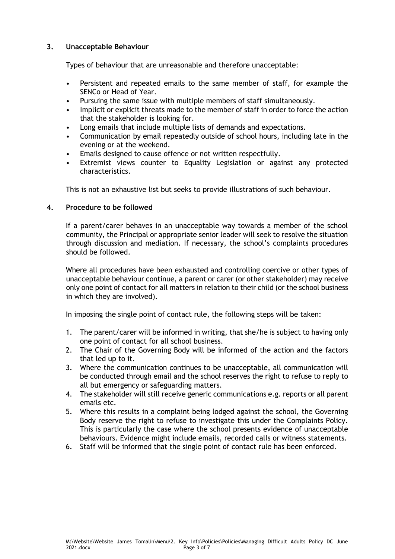# **3. Unacceptable Behaviour**

Types of behaviour that are unreasonable and therefore unacceptable:

- Persistent and repeated emails to the same member of staff, for example the SENCo or Head of Year.
- Pursuing the same issue with multiple members of staff simultaneously.
- Implicit or explicit threats made to the member of staff in order to force the action that the stakeholder is looking for.
- Long emails that include multiple lists of demands and expectations.
- Communication by email repeatedly outside of school hours, including late in the evening or at the weekend.
- Emails designed to cause offence or not written respectfully.
- Extremist views counter to Equality Legislation or against any protected characteristics.

This is not an exhaustive list but seeks to provide illustrations of such behaviour.

#### **4. Procedure to be followed**

If a parent/carer behaves in an unacceptable way towards a member of the school community, the Principal or appropriate senior leader will seek to resolve the situation through discussion and mediation. If necessary, the school's complaints procedures should be followed.

Where all procedures have been exhausted and controlling coercive or other types of unacceptable behaviour continue, a parent or carer (or other stakeholder) may receive only one point of contact for all matters in relation to their child (or the school business in which they are involved).

In imposing the single point of contact rule, the following steps will be taken:

- 1. The parent/carer will be informed in writing, that she/he is subject to having only one point of contact for all school business.
- 2. The Chair of the Governing Body will be informed of the action and the factors that led up to it.
- 3. Where the communication continues to be unacceptable, all communication will be conducted through email and the school reserves the right to refuse to reply to all but emergency or safeguarding matters.
- 4. The stakeholder will still receive generic communications e.g. reports or all parent emails etc.
- 5. Where this results in a complaint being lodged against the school, the Governing Body reserve the right to refuse to investigate this under the Complaints Policy. This is particularly the case where the school presents evidence of unacceptable behaviours. Evidence might include emails, recorded calls or witness statements.
- 6. Staff will be informed that the single point of contact rule has been enforced.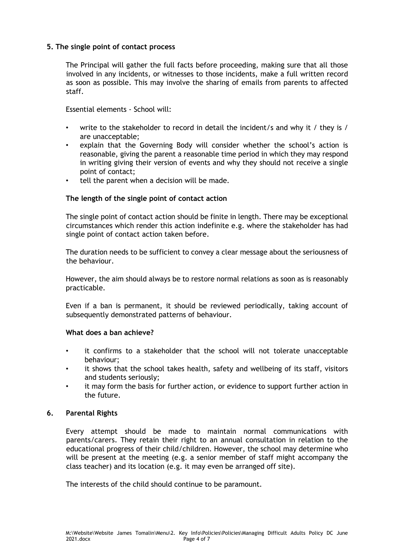#### **5. The single point of contact process**

The Principal will gather the full facts before proceeding, making sure that all those involved in any incidents, or witnesses to those incidents, make a full written record as soon as possible. This may involve the sharing of emails from parents to affected staff.

Essential elements - School will:

- write to the stakeholder to record in detail the incident/s and why it / they is / are unacceptable;
- explain that the Governing Body will consider whether the school's action is reasonable, giving the parent a reasonable time period in which they may respond in writing giving their version of events and why they should not receive a single point of contact;
- tell the parent when a decision will be made.

#### **The length of the single point of contact action**

The single point of contact action should be finite in length. There may be exceptional circumstances which render this action indefinite e.g. where the stakeholder has had single point of contact action taken before.

The duration needs to be sufficient to convey a clear message about the seriousness of the behaviour.

However, the aim should always be to restore normal relations as soon as is reasonably practicable.

Even if a ban is permanent, it should be reviewed periodically, taking account of subsequently demonstrated patterns of behaviour.

#### **What does a ban achieve?**

- it confirms to a stakeholder that the school will not tolerate unacceptable behaviour;
- it shows that the school takes health, safety and wellbeing of its staff, visitors and students seriously;
- it may form the basis for further action, or evidence to support further action in the future.

#### **6. Parental Rights**

Every attempt should be made to maintain normal communications with parents/carers. They retain their right to an annual consultation in relation to the educational progress of their child/children. However, the school may determine who will be present at the meeting (e.g. a senior member of staff might accompany the class teacher) and its location (e.g. it may even be arranged off site).

The interests of the child should continue to be paramount.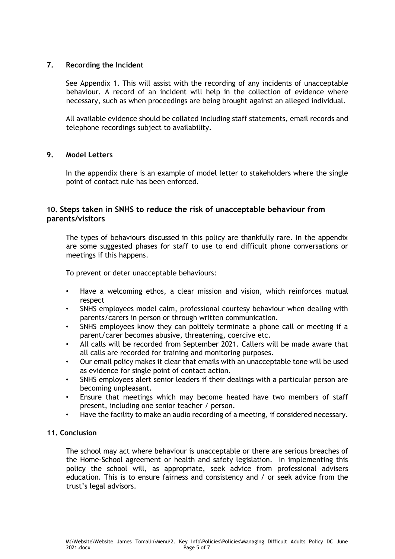#### **7. Recording the Incident**

See Appendix 1. This will assist with the recording of any incidents of unacceptable behaviour. A record of an incident will help in the collection of evidence where necessary, such as when proceedings are being brought against an alleged individual.

All available evidence should be collated including staff statements, email records and telephone recordings subject to availability.

#### **9. Model Letters**

In the appendix there is an example of model letter to stakeholders where the single point of contact rule has been enforced.

# **10. Steps taken in SNHS to reduce the risk of unacceptable behaviour from parents/visitors**

The types of behaviours discussed in this policy are thankfully rare. In the appendix are some suggested phases for staff to use to end difficult phone conversations or meetings if this happens.

To prevent or deter unacceptable behaviours:

- Have a welcoming ethos, a clear mission and vision, which reinforces mutual respect
- SNHS employees model calm, professional courtesy behaviour when dealing with parents/carers in person or through written communication.
- SNHS employees know they can politely terminate a phone call or meeting if a parent/carer becomes abusive, threatening, coercive etc.
- All calls will be recorded from September 2021. Callers will be made aware that all calls are recorded for training and monitoring purposes.
- Our email policy makes it clear that emails with an unacceptable tone will be used as evidence for single point of contact action.
- SNHS employees alert senior leaders if their dealings with a particular person are becoming unpleasant.
- Ensure that meetings which may become heated have two members of staff present, including one senior teacher / person.
- Have the facility to make an audio recording of a meeting, if considered necessary.

# **11. Conclusion**

The school may act where behaviour is unacceptable or there are serious breaches of the Home-School agreement or health and safety legislation. In implementing this policy the school will, as appropriate, seek advice from professional advisers education. This is to ensure fairness and consistency and / or seek advice from the trust's legal advisors.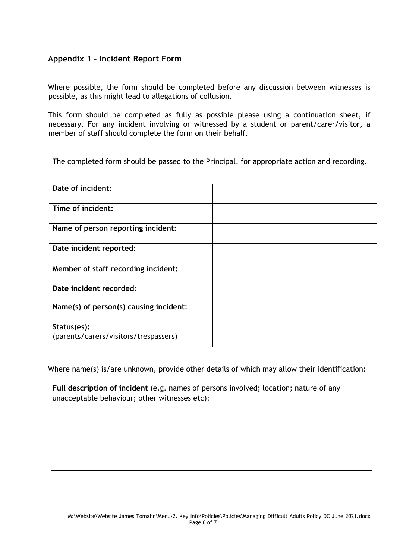# **Appendix 1 - Incident Report Form**

Where possible, the form should be completed before any discussion between witnesses is possible, as this might lead to allegations of collusion.

This form should be completed as fully as possible please using a continuation sheet, if necessary. For any incident involving or witnessed by a student or parent/carer/visitor, a member of staff should complete the form on their behalf.

| The completed form should be passed to the Principal, for appropriate action and recording. |  |  |
|---------------------------------------------------------------------------------------------|--|--|
| Date of incident:                                                                           |  |  |
| Time of incident:                                                                           |  |  |
| Name of person reporting incident:                                                          |  |  |
| Date incident reported:                                                                     |  |  |
| Member of staff recording incident:                                                         |  |  |
| Date incident recorded:                                                                     |  |  |
| Name(s) of person(s) causing incident:                                                      |  |  |
| Status(es):<br>(parents/carers/visitors/trespassers)                                        |  |  |

Where name(s) is/are unknown, provide other details of which may allow their identification:

**Full description of incident** (e.g. names of persons involved; location; nature of any unacceptable behaviour; other witnesses etc):